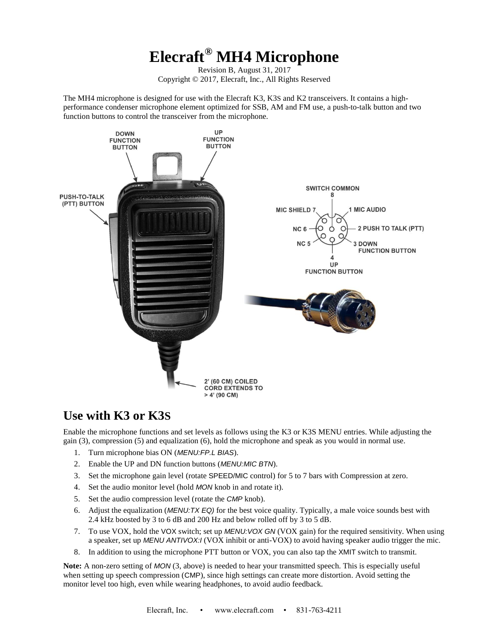# **Elecraft® MH4 Microphone**

Revision B, August 31, 2017 Copyright © 2017, Elecraft, Inc., All Rights Reserved

The MH4 microphone is designed for use with the Elecraft K3, K3S and K2 transceivers. It contains a highperformance condenser microphone element optimized for SSB, AM and FM use, a push-to-talk button and two function buttons to control the transceiver from the microphone.



#### **Use with K3 or K3S**

Enable the microphone functions and set levels as follows using the K3 or K3S MENU entries. While adjusting the gain (3), compression (5) and equalization (6), hold the microphone and speak as you would in normal use.

- 1. Turn microphone bias ON (*MENU:FP.L BIAS*).
- 2. Enable the UP and DN function buttons (*MENU:MIC BTN*).
- 3. Set the microphone gain level (rotate SPEED/MIC control) for 5 to 7 bars with Compression at zero.
- 4. Set the audio monitor level (hold *MON* knob in and rotate it).
- 5. Set the audio compression level (rotate the *CMP* knob).
- 6. Adjust the equalization (*MENU:TX EQ)* for the best voice quality. Typically, a male voice sounds best with 2.4 kHz boosted by 3 to 6 dB and 200 Hz and below rolled off by 3 to 5 dB.
- 7. To use VOX, hold the VOX switch; set up *MENU:VOX GN* (VOX gain) for the required sensitivity. When using a speaker, set up *MENU ANTIVOX:I* (VOX inhibit or anti-VOX) to avoid having speaker audio trigger the mic.
- 8. In addition to using the microphone PTT button or VOX, you can also tap the XMIT switch to transmit.

**Note:** A non-zero setting of *MON* (3, above) is needed to hear your transmitted speech. This is especially useful when setting up speech compression (CMP), since high settings can create more distortion. Avoid setting the monitor level too high, even while wearing headphones, to avoid audio feedback.